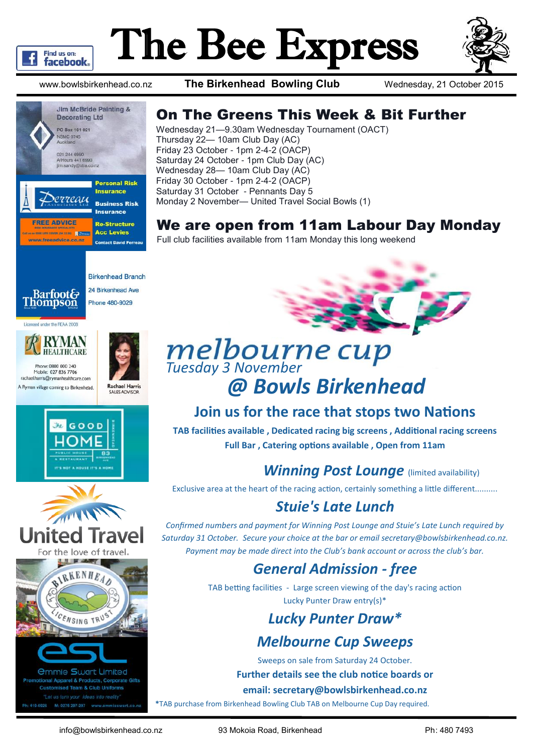

# The Bee Express



www.bowlsbirkenhead.co.nz **The Birkenhead Bowling Club** Wednesday, 21 October 2015



## On The Greens This Week & Bit Further

Wednesday 21—9.30am Wednesday Tournament (OACT) Thursday 22— 10am Club Day (AC) Friday 23 October - 1pm 2-4-2 (OACP) Saturday 24 October - 1pm Club Day (AC) Wednesday 28— 10am Club Day (AC) Friday 30 October - 1pm 2-4-2 (OACP) Saturday 31 October - Pennants Day 5 Monday 2 November— United Travel Social Bowls (1)

# We are open from 11am Labour Day Monday

Full club facilities available from 11am Monday this long weekend



**Birkenhead Branch** 24 Birkenhead Ave Phone 480-9029

#### Licensed under the REAA 2008



A Ryman village coming to Birkenhead.



**Rachael Harris** 







*<u>Ommie Swart Limited</u>* al Apparel & Products, Corporate Gifts sed Team & Club Uniforms "Let us turn your ideas into reality M: 0275 297-297 w



# **Join us for the race that stops two Nations**

**TAB facilities available , Dedicated racing big screens , Additional racing screens Full Bar , Catering options available , Open from 11am**

# *Winning Post Lounge* (limited availability)

Exclusive area at the heart of the racing action, certainly something a little different..........

# *Stuie's Late Lunch*

*Confirmed numbers and payment for Winning Post Lounge and Stuie's Late Lunch required by Saturday 31 October. Secure your choice at the bar or email secretary@bowlsbirkenhead.co.nz. Payment may be made direct into the Club's bank account or across the club's bar.*

# *General Admission - free*

TAB betting facilities - Large screen viewing of the day's racing action Lucky Punter Draw entry(s)\*

# *Lucky Punter Draw\**

# *Melbourne Cup Sweeps*

Sweeps on sale from Saturday 24 October.

#### **Further details see the club notice boards or**

#### **email: secretary@bowlsbirkenhead.co.nz**

**\***TAB purchase from Birkenhead Bowling Club TAB on Melbourne Cup Day required.